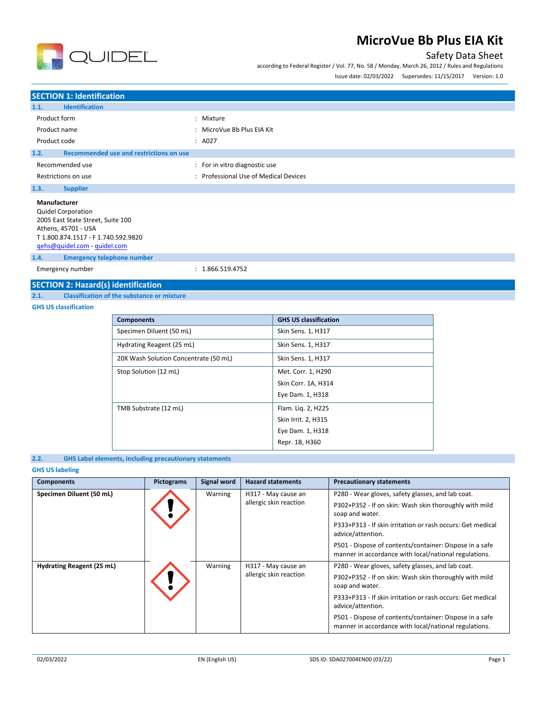

## Safety Data Sheet

according to Federal Register / Vol. 77, No. 58 / Monday, March 26, 2012 / Rules and Regulations

Issue date: 02/03/2022 Supersedes: 11/15/2017 Version: 1.0

## **SECTION 1: Identification**

| 1.1.<br><b>Identification</b>                                                                                                                                                |                                       |
|------------------------------------------------------------------------------------------------------------------------------------------------------------------------------|---------------------------------------|
| Product form                                                                                                                                                                 | : Mixture                             |
| Product name                                                                                                                                                                 | : MicroVue Bb Plus EIA Kit            |
| Product code                                                                                                                                                                 | : A027                                |
| Recommended use and restrictions on use<br>1.2.                                                                                                                              |                                       |
| Recommended use                                                                                                                                                              | : For in vitro diagnostic use         |
| Restrictions on use                                                                                                                                                          | : Professional Use of Medical Devices |
| 1.3.<br><b>Supplier</b>                                                                                                                                                      |                                       |
| Manufacturer<br><b>Quidel Corporation</b><br>2005 East State Street, Suite 100<br>Athens, 45701 - USA<br>T 1.800.874.1517 - F 1.740.592.9820<br>qehs@quidel.com - quidel.com |                                       |

**1.4. Emergency telephone number**

Emergency number : 1.866.519.4752

# **SECTION 2: Hazard(s) identification**<br>2.1. Classification of the substance or

### **2.1. Classification of the substance or mixture**

**GHS US classification**

| <b>Components</b>                     | <b>GHS US classification</b> |
|---------------------------------------|------------------------------|
| Specimen Diluent (50 mL)              | Skin Sens. 1, H317           |
| Hydrating Reagent (25 mL)             | Skin Sens. 1, H317           |
| 20X Wash Solution Concentrate (50 mL) | Skin Sens. 1, H317           |
| Stop Solution (12 mL)                 | Met. Corr. 1, H290           |
|                                       | Skin Corr. 1A, H314          |
|                                       | Eye Dam. 1, H318             |
| TMB Substrate (12 mL)                 | Flam. Lig. 2, H225           |
|                                       | Skin Irrit. 2, H315          |
|                                       | Eye Dam. 1, H318             |
|                                       | Repr. 1B, H360               |

### **2.2. GHS Label elements, including precautionary statements**

### **GHS US labeling**

| <b>Components</b>                                                                     | Pictograms                                                                                                       | <b>Signal word</b>                                                              | <b>Hazard statements</b>                                                  | <b>Precautionary statements</b>                                                                                  |
|---------------------------------------------------------------------------------------|------------------------------------------------------------------------------------------------------------------|---------------------------------------------------------------------------------|---------------------------------------------------------------------------|------------------------------------------------------------------------------------------------------------------|
| Specimen Diluent (50 mL)                                                              |                                                                                                                  | Warning                                                                         | H317 - May cause an                                                       | P280 - Wear gloves, safety glasses, and lab coat.                                                                |
|                                                                                       | allergic skin reaction                                                                                           |                                                                                 | P302+P352 - If on skin: Wash skin thoroughly with mild<br>soap and water. |                                                                                                                  |
|                                                                                       |                                                                                                                  | P333+P313 - If skin irritation or rash occurs: Get medical<br>advice/attention. |                                                                           |                                                                                                                  |
|                                                                                       | P501 - Dispose of contents/container: Dispose in a safe<br>manner in accordance with local/national regulations. |                                                                                 |                                                                           |                                                                                                                  |
| Hydrating Reagent (25 mL)<br>Warning<br>H317 - May cause an<br>allergic skin reaction | P280 - Wear gloves, safety glasses, and lab coat.                                                                |                                                                                 |                                                                           |                                                                                                                  |
|                                                                                       |                                                                                                                  | P302+P352 - If on skin: Wash skin thoroughly with mild<br>soap and water.       |                                                                           |                                                                                                                  |
|                                                                                       |                                                                                                                  | P333+P313 - If skin irritation or rash occurs: Get medical<br>advice/attention. |                                                                           |                                                                                                                  |
|                                                                                       |                                                                                                                  |                                                                                 |                                                                           | P501 - Dispose of contents/container: Dispose in a safe<br>manner in accordance with local/national regulations. |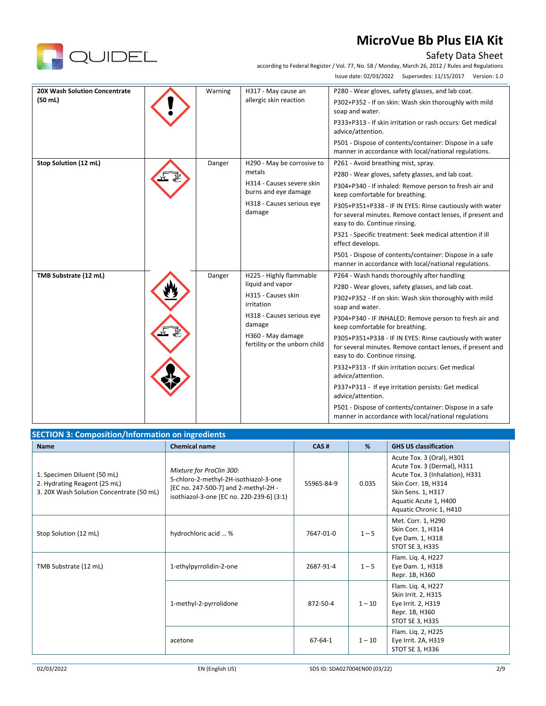# Safety Data Sheet

according to Federal Register / Vol. 77, No. 58 / Monday, March 26, 2012 / Rules and Regulations Issue date: 02/03/2022 Supersedes: 11/15/2017 Version: 1.0

| <b>20X Wash Solution Concentrate</b><br>H317 - May cause an<br>Warning<br>(50 ml)<br>allergic skin reaction |                                                                           |                                                    | P280 - Wear gloves, safety glasses, and lab coat.                                                                                                       |
|-------------------------------------------------------------------------------------------------------------|---------------------------------------------------------------------------|----------------------------------------------------|---------------------------------------------------------------------------------------------------------------------------------------------------------|
|                                                                                                             | P302+P352 - If on skin: Wash skin thoroughly with mild<br>soap and water. |                                                    |                                                                                                                                                         |
|                                                                                                             |                                                                           |                                                    | P333+P313 - If skin irritation or rash occurs: Get medical<br>advice/attention.                                                                         |
|                                                                                                             |                                                                           |                                                    | P501 - Dispose of contents/container: Dispose in a safe<br>manner in accordance with local/national regulations.                                        |
| Stop Solution (12 mL)                                                                                       | Danger                                                                    | H290 - May be corrosive to                         | P261 - Avoid breathing mist, spray.                                                                                                                     |
|                                                                                                             |                                                                           | metals                                             | P280 - Wear gloves, safety glasses, and lab coat.                                                                                                       |
|                                                                                                             |                                                                           | H314 - Causes severe skin<br>burns and eye damage  | P304+P340 - If inhaled: Remove person to fresh air and<br>keep comfortable for breathing.                                                               |
|                                                                                                             |                                                                           | H318 - Causes serious eye<br>damage                | P305+P351+P338 - IF IN EYES: Rinse cautiously with water<br>for several minutes. Remove contact lenses, if present and<br>easy to do. Continue rinsing. |
|                                                                                                             |                                                                           |                                                    | P321 - Specific treatment: Seek medical attention if ill<br>effect develops.                                                                            |
|                                                                                                             |                                                                           |                                                    | P501 - Dispose of contents/container: Dispose in a safe<br>manner in accordance with local/national regulations.                                        |
| TMB Substrate (12 mL)                                                                                       | Danger                                                                    | H225 - Highly flammable                            | P264 - Wash hands thoroughly after handling                                                                                                             |
|                                                                                                             |                                                                           | liquid and vapor                                   | P280 - Wear gloves, safety glasses, and lab coat.                                                                                                       |
|                                                                                                             |                                                                           | H315 - Causes skin<br>irritation                   | P302+P352 - If on skin: Wash skin thoroughly with mild<br>soap and water.                                                                               |
|                                                                                                             |                                                                           | H318 - Causes serious eye<br>damage                | P304+P340 - IF INHALED: Remove person to fresh air and<br>keep comfortable for breathing.                                                               |
|                                                                                                             |                                                                           | H360 - May damage<br>fertility or the unborn child | P305+P351+P338 - IF IN EYES: Rinse cautiously with water<br>for several minutes. Remove contact lenses, if present and<br>easy to do. Continue rinsing. |
|                                                                                                             |                                                                           |                                                    | P332+P313 - If skin irritation occurs: Get medical<br>advice/attention.                                                                                 |
|                                                                                                             |                                                                           |                                                    | P337+P313 - If eye irritation persists: Get medical<br>advice/attention.                                                                                |
|                                                                                                             |                                                                           |                                                    | P501 - Dispose of contents/container: Dispose in a safe<br>manner in accordance with local/national regulations                                         |

| <b>SECTION 3: Composition/Information on ingredients</b>                                                |                                                                                                                                                        |            |          |                                                                                                                                                                                              |  |
|---------------------------------------------------------------------------------------------------------|--------------------------------------------------------------------------------------------------------------------------------------------------------|------------|----------|----------------------------------------------------------------------------------------------------------------------------------------------------------------------------------------------|--|
| <b>Chemical name</b><br><b>Name</b>                                                                     |                                                                                                                                                        | CAS#       | %        | <b>GHS US classification</b>                                                                                                                                                                 |  |
| 1. Specimen Diluent (50 mL)<br>2. Hydrating Reagent (25 mL)<br>3. 20X Wash Solution Concentrate (50 mL) | Mixture for ProClin 300:<br>5-chloro-2-methyl-2H-isothiazol-3-one<br>[EC no. 247-500-7] and 2-methyl-2H -<br>isothiazol-3-one [EC no. 220-239-6] (3:1) | 55965-84-9 | 0.035    | Acute Tox. 3 (Oral), H301<br>Acute Tox. 3 (Dermal), H311<br>Acute Tox. 3 (Inhalation), H331<br>Skin Corr. 1B, H314<br>Skin Sens. 1, H317<br>Aquatic Acute 1, H400<br>Aquatic Chronic 1, H410 |  |
| Stop Solution (12 mL)                                                                                   | hydrochloric acid  %                                                                                                                                   | 7647-01-0  | $1 - 5$  | Met. Corr. 1, H290<br>Skin Corr. 1, H314<br>Eye Dam. 1, H318<br>STOT SE 3, H335                                                                                                              |  |
| TMB Substrate (12 mL)                                                                                   | 1-ethylpyrrolidin-2-one                                                                                                                                | 2687-91-4  | $1 - 5$  | Flam. Liq. 4, H227<br>Eye Dam. 1, H318<br>Repr. 1B, H360                                                                                                                                     |  |
|                                                                                                         | 1-methyl-2-pyrrolidone                                                                                                                                 | 872-50-4   | $1 - 10$ | Flam. Liq. 4, H227<br>Skin Irrit. 2, H315<br>Eye Irrit. 2, H319<br>Repr. 1B, H360<br>STOT SE 3, H335                                                                                         |  |
|                                                                                                         | acetone                                                                                                                                                | 67-64-1    | $1 - 10$ | Flam. Lig. 2, H225<br>Eye Irrit. 2A, H319<br>STOT SE 3, H336                                                                                                                                 |  |

QUIDEL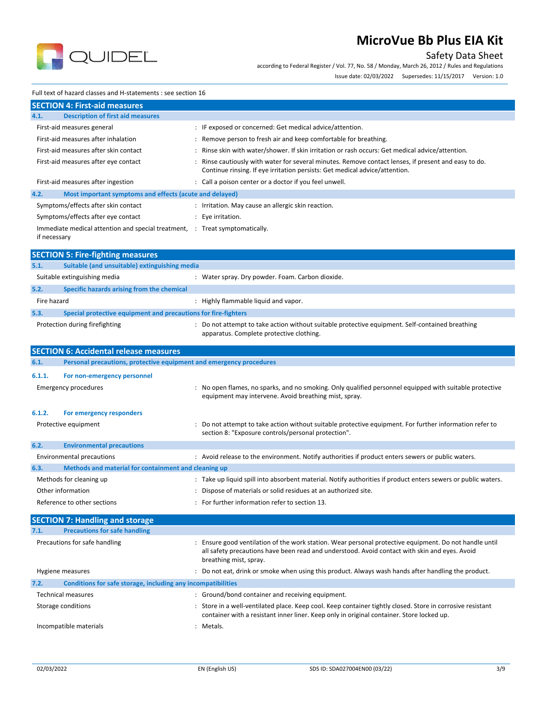

## Safety Data Sheet

according to Federal Register / Vol. 77, No. 58 / Monday, March 26, 2012 / Rules and Regulations

Issue date: 02/03/2022 Supersedes: 11/15/2017 Version: 1.0

#### Full text of hazard classes and H-statements : see section 16

| <b>SECTION 4: First-aid measures</b>                                                        |                                                                                                                                                                                   |
|---------------------------------------------------------------------------------------------|-----------------------------------------------------------------------------------------------------------------------------------------------------------------------------------|
| <b>Description of first aid measures</b><br>4.1.                                            |                                                                                                                                                                                   |
| First-aid measures general                                                                  | : IF exposed or concerned: Get medical advice/attention.                                                                                                                          |
| First-aid measures after inhalation                                                         | Remove person to fresh air and keep comfortable for breathing.                                                                                                                    |
| First-aid measures after skin contact                                                       | Rinse skin with water/shower. If skin irritation or rash occurs: Get medical advice/attention.                                                                                    |
| First-aid measures after eye contact                                                        | Rinse cautiously with water for several minutes. Remove contact lenses, if present and easy to do.<br>Continue rinsing. If eye irritation persists: Get medical advice/attention. |
| First-aid measures after ingestion                                                          | Call a poison center or a doctor if you feel unwell.                                                                                                                              |
| Most important symptoms and effects (acute and delayed)<br>4.2.                             |                                                                                                                                                                                   |
| Symptoms/effects after skin contact                                                         | : Irritation. May cause an allergic skin reaction.                                                                                                                                |
| Symptoms/effects after eye contact                                                          | : Eye irritation.                                                                                                                                                                 |
| Immediate medical attention and special treatment, : Treat symptomatically.<br>if necessary |                                                                                                                                                                                   |
| <b>SECTION 5: Fire-fighting measures</b>                                                    |                                                                                                                                                                                   |
| Suitable (and unsuitable) extinguishing media<br>5.1.                                       |                                                                                                                                                                                   |
| Suitable extinguishing media                                                                | Water spray. Dry powder. Foam. Carbon dioxide.                                                                                                                                    |
| Specific hazards arising from the chemical<br>5.2.                                          |                                                                                                                                                                                   |

| 5.3.<br>Special protective equipment and precautions for fire-fighters |                                                                                                                                             |
|------------------------------------------------------------------------|---------------------------------------------------------------------------------------------------------------------------------------------|
| Protection during firefighting                                         | : Do not attempt to take action without suitable protective equipment. Self-contained breathing<br>apparatus. Complete protective clothing. |

Fire hazard **in the sum of the set of the set of the set of the set of the set of the set of the set of the set of the set of the set of the set of the set of the set of the set of the set of the set of the set of the set** 

|                           | <b>SECTION 6: Accidental release measures</b>                               |  |                                                                                                                                                                                                                                 |
|---------------------------|-----------------------------------------------------------------------------|--|---------------------------------------------------------------------------------------------------------------------------------------------------------------------------------------------------------------------------------|
| 6.1.                      | Personal precautions, protective equipment and emergency procedures         |  |                                                                                                                                                                                                                                 |
| 6.1.1.                    | For non-emergency personnel<br><b>Emergency procedures</b>                  |  | No open flames, no sparks, and no smoking. Only qualified personnel equipped with suitable protective<br>equipment may intervene. Avoid breathing mist, spray.                                                                  |
| 6.1.2.                    | For emergency responders<br>Protective equipment                            |  | Do not attempt to take action without suitable protective equipment. For further information refer to<br>section 8: "Exposure controls/personal protection".                                                                    |
| 6.2.                      | <b>Environmental precautions</b>                                            |  |                                                                                                                                                                                                                                 |
|                           | <b>Environmental precautions</b>                                            |  | : Avoid release to the environment. Notify authorities if product enters sewers or public waters.                                                                                                                               |
| 6.3.                      | Methods and material for containment and cleaning up                        |  |                                                                                                                                                                                                                                 |
|                           | Methods for cleaning up<br>Other information<br>Reference to other sections |  | : Take up liquid spill into absorbent material. Notify authorities if product enters sewers or public waters.<br>Dispose of materials or solid residues at an authorized site.<br>For further information refer to section 13.  |
|                           | <b>SECTION 7: Handling and storage</b>                                      |  |                                                                                                                                                                                                                                 |
| 7.1.                      | <b>Precautions for safe handling</b>                                        |  |                                                                                                                                                                                                                                 |
|                           | Precautions for safe handling                                               |  | Ensure good ventilation of the work station. Wear personal protective equipment. Do not handle until<br>all safety precautions have been read and understood. Avoid contact with skin and eyes. Avoid<br>breathing mist, spray. |
|                           | Hygiene measures                                                            |  | : Do not eat, drink or smoke when using this product. Always wash hands after handling the product.                                                                                                                             |
| 7.2.                      | Conditions for safe storage, including any incompatibilities                |  |                                                                                                                                                                                                                                 |
| <b>Technical measures</b> |                                                                             |  | : Ground/bond container and receiving equipment.                                                                                                                                                                                |
| Storage conditions        |                                                                             |  | Store in a well-ventilated place. Keep cool. Keep container tightly closed. Store in corrosive resistant<br>container with a resistant inner liner. Keep only in original container. Store locked up.                           |
| Incompatible materials    |                                                                             |  | Metals.                                                                                                                                                                                                                         |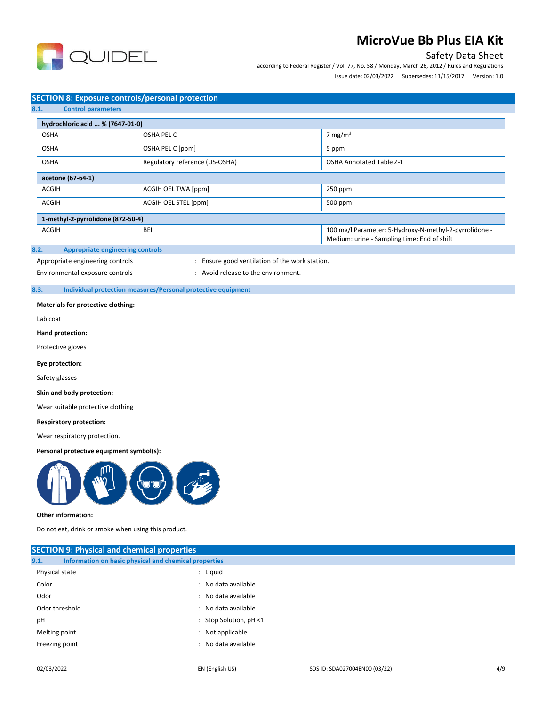

## Safety Data Sheet

according to Federal Register / Vol. 77, No. 58 / Monday, March 26, 2012 / Rules and Regulations Issue date: 02/03/2022 Supersedes: 11/15/2017 Version: 1.0

### **SECTION 8: Exposure controls/personal protection**

**8.1. Control parameters**

| hydrochloric acid  % (7647-01-0)  |                                                                   |                                                                                                       |  |  |  |
|-----------------------------------|-------------------------------------------------------------------|-------------------------------------------------------------------------------------------------------|--|--|--|
| <b>OSHA</b>                       | OSHA PEL C                                                        | 7 mg/m <sup>3</sup>                                                                                   |  |  |  |
| <b>OSHA</b>                       | OSHA PEL C [ppm]<br>5 ppm                                         |                                                                                                       |  |  |  |
| <b>OSHA</b>                       | Regulatory reference (US-OSHA)<br><b>OSHA Annotated Table Z-1</b> |                                                                                                       |  |  |  |
| acetone (67-64-1)                 |                                                                   |                                                                                                       |  |  |  |
| <b>ACGIH</b>                      | ACGIH OEL TWA [ppm]                                               | 250 ppm                                                                                               |  |  |  |
| <b>ACGIH</b>                      | ACGIH OEL STEL [ppm]<br>500 ppm                                   |                                                                                                       |  |  |  |
| 1-methyl-2-pyrrolidone (872-50-4) |                                                                   |                                                                                                       |  |  |  |
| <b>ACGIH</b>                      | <b>BEI</b>                                                        | 100 mg/l Parameter: 5-Hydroxy-N-methyl-2-pyrrolidone -<br>Medium: urine - Sampling time: End of shift |  |  |  |

#### **8.2. Appropriate engineering controls**

Appropriate engineering controls : Ensure good ventilation of the work station.

Environmental exposure controls : Avoid release to the environment.

### **8.3. Individual protection measures/Personal protective equipment**

#### **Materials for protective clothing:**

Lab coat

#### **Hand protection:**

Protective gloves

### **Eye protection:**

Safety glasses

#### **Skin and body protection:**

Wear suitable protective clothing

#### **Respiratory protection:**

Wear respiratory protection.

### **Personal protective equipment symbol(s):**



#### **Other information:**

Do not eat, drink or smoke when using this product.

| <b>SECTION 9: Physical and chemical properties</b> |                                                       |  |  |  |
|----------------------------------------------------|-------------------------------------------------------|--|--|--|
| 9.1.                                               | Information on basic physical and chemical properties |  |  |  |
| Physical state                                     | : Liquid                                              |  |  |  |
| Color                                              | : No data available                                   |  |  |  |
| Odor                                               | : No data available                                   |  |  |  |
| Odor threshold                                     | : No data available                                   |  |  |  |
| pH                                                 | : Stop Solution, $pH < 1$                             |  |  |  |
| Melting point                                      | : Not applicable                                      |  |  |  |
| Freezing point                                     | : No data available                                   |  |  |  |
|                                                    |                                                       |  |  |  |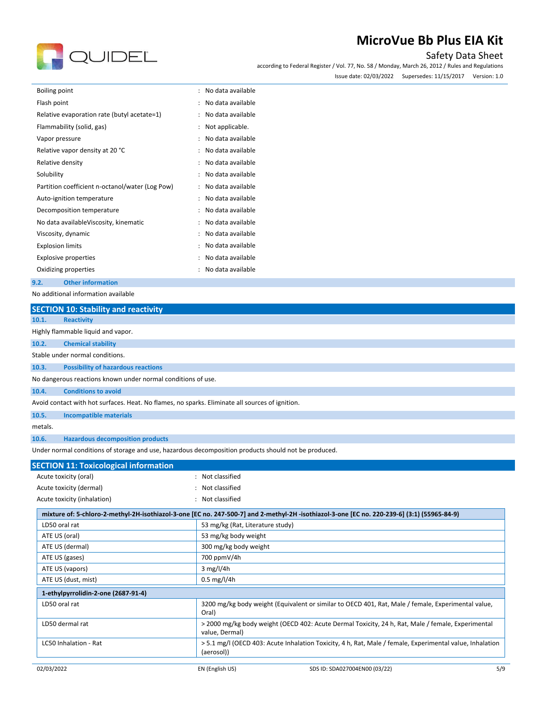

## Safety Data Sheet

according to Federal Register / Vol. 77, No. 58 / Monday, March 26, 2012 / Rules and Regulations

Issue date: 02/03/2022 Supersedes: 11/15/2017 Version: 1.0

| <b>Boiling point</b>                            | No data available                         |
|-------------------------------------------------|-------------------------------------------|
| Flash point                                     | No data available<br>$\ddot{\phantom{a}}$ |
| Relative evaporation rate (butyl acetate=1)     | No data available<br>$\ddot{\phantom{a}}$ |
| Flammability (solid, gas)                       | Not applicable.<br>$\ddot{\phantom{a}}$   |
| Vapor pressure                                  | No data available                         |
| Relative vapor density at 20 °C                 | No data available                         |
| Relative density                                | No data available                         |
| Solubility                                      | No data available<br>$\ddot{\cdot}$       |
| Partition coefficient n-octanol/water (Log Pow) | No data available<br>$\ddot{\cdot}$       |
| Auto-ignition temperature                       | No data available                         |
| Decomposition temperature                       | No data available                         |
| No data availableViscosity, kinematic           | No data available                         |
| Viscosity, dynamic                              | No data available                         |
| <b>Explosion limits</b>                         | No data available                         |
| <b>Explosive properties</b>                     | No data available                         |
| Oxidizing properties                            | No data available                         |
| <b>Other information</b><br>9.2.                |                                           |

No additional information available

|                                                                                                      | <b>SECTION 10: Stability and reactivity</b>                                                     |                |  |  |  |
|------------------------------------------------------------------------------------------------------|-------------------------------------------------------------------------------------------------|----------------|--|--|--|
| 10.1.                                                                                                | <b>Reactivity</b>                                                                               |                |  |  |  |
|                                                                                                      | Highly flammable liquid and vapor.                                                              |                |  |  |  |
| 10.2.                                                                                                | <b>Chemical stability</b>                                                                       |                |  |  |  |
|                                                                                                      | Stable under normal conditions.                                                                 |                |  |  |  |
| 10.3.                                                                                                | <b>Possibility of hazardous reactions</b>                                                       |                |  |  |  |
|                                                                                                      | No dangerous reactions known under normal conditions of use.                                    |                |  |  |  |
| 10.4.                                                                                                | <b>Conditions to avoid</b>                                                                      |                |  |  |  |
|                                                                                                      | Avoid contact with hot surfaces. Heat. No flames, no sparks. Eliminate all sources of ignition. |                |  |  |  |
| 10.5.                                                                                                | <b>Incompatible materials</b>                                                                   |                |  |  |  |
| metals.                                                                                              |                                                                                                 |                |  |  |  |
| 10.6.                                                                                                | <b>Hazardous decomposition products</b>                                                         |                |  |  |  |
| Under normal conditions of storage and use, hazardous decomposition products should not be produced. |                                                                                                 |                |  |  |  |
|                                                                                                      | <b>SECTION 11: Toxicological information</b>                                                    |                |  |  |  |
|                                                                                                      | Acute toxicity (oral)                                                                           | Not classified |  |  |  |
|                                                                                                      | Acute toxicity (dermal)                                                                         | Not classified |  |  |  |
|                                                                                                      | Acute toxicity (inhalation)                                                                     | Not classified |  |  |  |

| mixture of: 5-chloro-2-methyl-2H-isothiazol-3-one [EC no. 247-500-7] and 2-methyl-2H-isothiazol-3-one [EC no. 220-239-6] (3:1) (55965-84-9) |                                                                                                                        |  |
|---------------------------------------------------------------------------------------------------------------------------------------------|------------------------------------------------------------------------------------------------------------------------|--|
| LD50 oral rat                                                                                                                               | 53 mg/kg (Rat, Literature study)                                                                                       |  |
| ATE US (oral)                                                                                                                               | 53 mg/kg body weight                                                                                                   |  |
| ATE US (dermal)                                                                                                                             | 300 mg/kg body weight                                                                                                  |  |
| ATE US (gases)                                                                                                                              | 700 ppmV/4h                                                                                                            |  |
| ATE US (vapors)                                                                                                                             | $3$ mg/l/4h                                                                                                            |  |
| ATE US (dust, mist)                                                                                                                         | $0.5 \,\mathrm{mg}/l/4h$                                                                                               |  |
|                                                                                                                                             |                                                                                                                        |  |
| 1-ethylpyrrolidin-2-one (2687-91-4)                                                                                                         |                                                                                                                        |  |
| LD50 oral rat                                                                                                                               | 3200 mg/kg body weight (Equivalent or similar to OECD 401, Rat, Male / female, Experimental value,<br>Oral)            |  |
| LD50 dermal rat                                                                                                                             | > 2000 mg/kg body weight (OECD 402: Acute Dermal Toxicity, 24 h, Rat, Male / female, Experimental<br>value, Dermal)    |  |
| LC50 Inhalation - Rat                                                                                                                       | > 5.1 mg/l (OECD 403: Acute Inhalation Toxicity, 4 h, Rat, Male / female, Experimental value, Inhalation<br>(aerosol)) |  |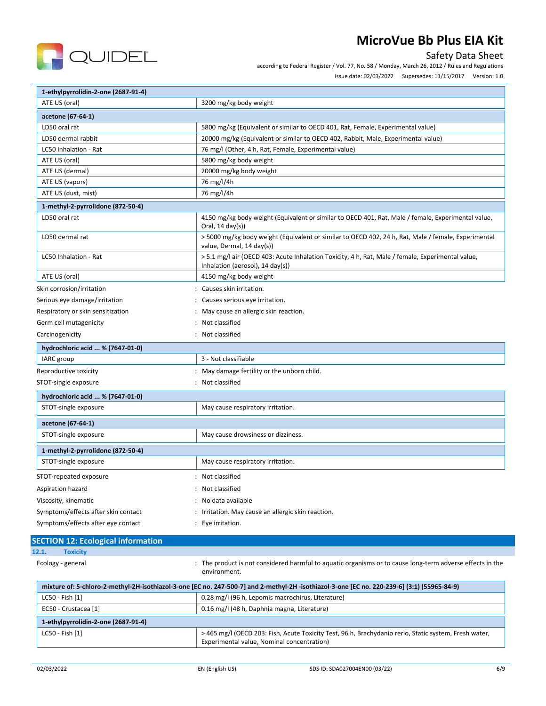

## Safety Data Sheet

according to Federal Register / Vol. 77, No. 58 / Monday, March 26, 2012 / Rules and Regulations

Issue date: 02/03/2022 Supersedes: 11/15/2017 Version: 1.0

| 1-ethylpyrrolidin-2-one (2687-91-4)                        |                                                                                                                                                  |  |  |
|------------------------------------------------------------|--------------------------------------------------------------------------------------------------------------------------------------------------|--|--|
| ATE US (oral)                                              | 3200 mg/kg body weight                                                                                                                           |  |  |
| acetone (67-64-1)                                          |                                                                                                                                                  |  |  |
| LD50 oral rat                                              | 5800 mg/kg (Equivalent or similar to OECD 401, Rat, Female, Experimental value)                                                                  |  |  |
| LD50 dermal rabbit                                         | 20000 mg/kg (Equivalent or similar to OECD 402, Rabbit, Male, Experimental value)                                                                |  |  |
| LC50 Inhalation - Rat                                      | 76 mg/l (Other, 4 h, Rat, Female, Experimental value)                                                                                            |  |  |
| ATE US (oral)                                              | 5800 mg/kg body weight                                                                                                                           |  |  |
| ATE US (dermal)                                            | 20000 mg/kg body weight                                                                                                                          |  |  |
| ATE US (vapors)                                            | 76 mg/l/4h                                                                                                                                       |  |  |
| ATE US (dust, mist)                                        | 76 mg/l/4h                                                                                                                                       |  |  |
| 1-methyl-2-pyrrolidone (872-50-4)                          |                                                                                                                                                  |  |  |
| LD50 oral rat                                              | 4150 mg/kg body weight (Equivalent or similar to OECD 401, Rat, Male / female, Experimental value,<br>Oral, 14 day(s))                           |  |  |
| LD50 dermal rat                                            | > 5000 mg/kg body weight (Equivalent or similar to OECD 402, 24 h, Rat, Male / female, Experimental<br>value, Dermal, 14 day(s))                 |  |  |
| LC50 Inhalation - Rat                                      | > 5.1 mg/l air (OECD 403: Acute Inhalation Toxicity, 4 h, Rat, Male / female, Experimental value,<br>Inhalation (aerosol), $14 \text{ day}(s)$ ) |  |  |
| ATE US (oral)                                              | 4150 mg/kg body weight                                                                                                                           |  |  |
| Skin corrosion/irritation                                  | : Causes skin irritation.                                                                                                                        |  |  |
| Serious eye damage/irritation                              | : Causes serious eye irritation.                                                                                                                 |  |  |
| Respiratory or skin sensitization                          | : May cause an allergic skin reaction.                                                                                                           |  |  |
| Not classified<br>Germ cell mutagenicity                   |                                                                                                                                                  |  |  |
| Carcinogenicity                                            | : Not classified                                                                                                                                 |  |  |
| hydrochloric acid  % (7647-01-0)                           |                                                                                                                                                  |  |  |
| IARC group                                                 | 3 - Not classifiable                                                                                                                             |  |  |
| Reproductive toxicity                                      | : May damage fertility or the unborn child.                                                                                                      |  |  |
| STOT-single exposure                                       | : Not classified                                                                                                                                 |  |  |
| hydrochloric acid  % (7647-01-0)                           |                                                                                                                                                  |  |  |
| STOT-single exposure<br>May cause respiratory irritation.  |                                                                                                                                                  |  |  |
|                                                            |                                                                                                                                                  |  |  |
| acetone (67-64-1)                                          |                                                                                                                                                  |  |  |
| STOT-single exposure<br>May cause drowsiness or dizziness. |                                                                                                                                                  |  |  |
| 1-methyl-2-pyrrolidone (872-50-4)                          |                                                                                                                                                  |  |  |
| STOT-single exposure                                       | May cause respiratory irritation.                                                                                                                |  |  |
| STOT-repeated exposure                                     | : Not classified                                                                                                                                 |  |  |
| Aspiration hazard                                          | : Not classified                                                                                                                                 |  |  |
| Viscosity, kinematic                                       | : No data available                                                                                                                              |  |  |
| Symptoms/effects after skin contact                        | : Irritation. May cause an allergic skin reaction.                                                                                               |  |  |
| Symptoms/effects after eye contact                         | : Eye irritation.                                                                                                                                |  |  |
|                                                            |                                                                                                                                                  |  |  |
| <b>SECTION 12: Ecological information</b>                  |                                                                                                                                                  |  |  |
| <b>Toxicity</b><br>12.1.                                   |                                                                                                                                                  |  |  |
| Ecology - general                                          | : The product is not considered harmful to aquatic organisms or to cause long-term adverse effects in the<br>environment.                        |  |  |
|                                                            | mixture of: 5-chloro-2-methyl-2H-isothiazol-3-one [EC no. 247-500-7] and 2-methyl-2H -isothiazol-3-one [EC no. 220-239-6] (3:1) (55965-84-9)     |  |  |
| LC50 - Fish [1]                                            | 0.28 mg/l (96 h, Lepomis macrochirus, Literature)                                                                                                |  |  |
| EC50 - Crustacea [1]                                       | 0.16 mg/l (48 h, Daphnia magna, Literature)                                                                                                      |  |  |
| 1-ethylpyrrolidin-2-one (2687-91-4)                        |                                                                                                                                                  |  |  |
| LC50 - Fish [1]                                            | > 465 mg/l (OECD 203: Fish, Acute Toxicity Test, 96 h, Brachydanio rerio, Static system, Fresh water,                                            |  |  |

Experimental value, Nominal concentration)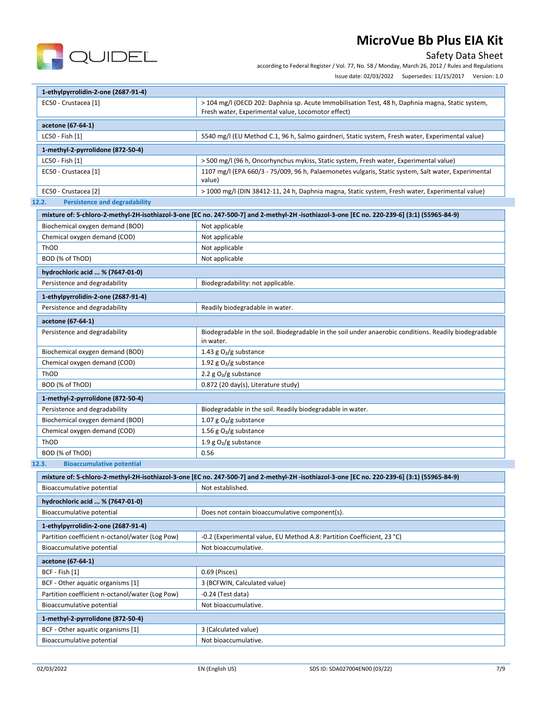

## Safety Data Sheet

according to Federal Register / Vol. 77, No. 58 / Monday, March 26, 2012 / Rules and Regulations

Issue date: 02/03/2022 Supersedes: 11/15/2017 Version: 1.0

| 1-ethylpyrrolidin-2-one (2687-91-4)                                         |                                                                                                                                                        |  |  |
|-----------------------------------------------------------------------------|--------------------------------------------------------------------------------------------------------------------------------------------------------|--|--|
| EC50 - Crustacea [1]                                                        | > 104 mg/l (OECD 202: Daphnia sp. Acute Immobilisation Test, 48 h, Daphnia magna, Static system,<br>Fresh water, Experimental value, Locomotor effect) |  |  |
| acetone (67-64-1)                                                           |                                                                                                                                                        |  |  |
| LC50 - Fish [1]                                                             | 5540 mg/l (EU Method C.1, 96 h, Salmo gairdneri, Static system, Fresh water, Experimental value)                                                       |  |  |
| 1-methyl-2-pyrrolidone (872-50-4)                                           |                                                                                                                                                        |  |  |
| LC50 - Fish [1]                                                             | > 500 mg/l (96 h, Oncorhynchus mykiss, Static system, Fresh water, Experimental value)                                                                 |  |  |
| EC50 - Crustacea [1]                                                        | 1107 mg/l (EPA 660/3 - 75/009, 96 h, Palaemonetes vulgaris, Static system, Salt water, Experimental                                                    |  |  |
|                                                                             | value)                                                                                                                                                 |  |  |
| EC50 - Crustacea [2]                                                        | > 1000 mg/l (DIN 38412-11, 24 h, Daphnia magna, Static system, Fresh water, Experimental value)                                                        |  |  |
| <b>Persistence and degradability</b><br>12.2.                               |                                                                                                                                                        |  |  |
|                                                                             | mixture of: 5-chloro-2-methyl-2H-isothiazol-3-one [EC no. 247-500-7] and 2-methyl-2H -isothiazol-3-one [EC no. 220-239-6] (3:1) (55965-84-9)           |  |  |
| Biochemical oxygen demand (BOD)                                             | Not applicable                                                                                                                                         |  |  |
| Chemical oxygen demand (COD)                                                | Not applicable                                                                                                                                         |  |  |
| ThOD                                                                        | Not applicable                                                                                                                                         |  |  |
| BOD (% of ThOD)                                                             | Not applicable                                                                                                                                         |  |  |
| hydrochloric acid  % (7647-01-0)                                            |                                                                                                                                                        |  |  |
| Persistence and degradability                                               | Biodegradability: not applicable.                                                                                                                      |  |  |
| 1-ethylpyrrolidin-2-one (2687-91-4)                                         |                                                                                                                                                        |  |  |
| Persistence and degradability                                               | Readily biodegradable in water.                                                                                                                        |  |  |
|                                                                             |                                                                                                                                                        |  |  |
| acetone (67-64-1)                                                           |                                                                                                                                                        |  |  |
| Persistence and degradability                                               | Biodegradable in the soil. Biodegradable in the soil under anaerobic conditions. Readily biodegradable<br>in water.                                    |  |  |
| Biochemical oxygen demand (BOD)                                             | 1.43 g $O_2/g$ substance                                                                                                                               |  |  |
| Chemical oxygen demand (COD)                                                | 1.92 g $O_2/g$ substance                                                                                                                               |  |  |
| ThOD                                                                        | 2.2 $g O2/g$ substance                                                                                                                                 |  |  |
| BOD (% of ThOD)                                                             | 0.872 (20 day(s), Literature study)                                                                                                                    |  |  |
| 1-methyl-2-pyrrolidone (872-50-4)                                           |                                                                                                                                                        |  |  |
| Persistence and degradability                                               | Biodegradable in the soil. Readily biodegradable in water.                                                                                             |  |  |
| Biochemical oxygen demand (BOD)                                             | 1.07 g $O2/g$ substance                                                                                                                                |  |  |
| Chemical oxygen demand (COD)                                                | 1.56 g $O_2/g$ substance                                                                                                                               |  |  |
| ThOD                                                                        | 1.9 g $O_2/g$ substance                                                                                                                                |  |  |
| BOD (% of ThOD)                                                             | 0.56                                                                                                                                                   |  |  |
| <b>Bioaccumulative potential</b><br>12.3.                                   |                                                                                                                                                        |  |  |
|                                                                             | mixture of: 5-chloro-2-methyl-2H-isothiazol-3-one [EC no. 247-500-7] and 2-methyl-2H-isothiazol-3-one [EC no. 220-239-6] (3:1) (55965-84-9)            |  |  |
| Bioaccumulative potential                                                   | Not established.                                                                                                                                       |  |  |
| hydrochloric acid  % (7647-01-0)                                            |                                                                                                                                                        |  |  |
| Bioaccumulative potential<br>Does not contain bioaccumulative component(s). |                                                                                                                                                        |  |  |
| 1-ethylpyrrolidin-2-one (2687-91-4)                                         |                                                                                                                                                        |  |  |
| Partition coefficient n-octanol/water (Log Pow)                             | -0.2 (Experimental value, EU Method A.8: Partition Coefficient, 23 °C)                                                                                 |  |  |
| Bioaccumulative potential                                                   | Not bioaccumulative.                                                                                                                                   |  |  |
|                                                                             |                                                                                                                                                        |  |  |
| acetone (67-64-1)                                                           |                                                                                                                                                        |  |  |
| BCF - Fish [1]                                                              | 0.69 (Pisces)                                                                                                                                          |  |  |
| BCF - Other aquatic organisms [1]                                           | 3 (BCFWIN, Calculated value)                                                                                                                           |  |  |
| Partition coefficient n-octanol/water (Log Pow)                             | $-0.24$ (Test data)                                                                                                                                    |  |  |
| Bioaccumulative potential                                                   | Not bioaccumulative.                                                                                                                                   |  |  |
| 1-methyl-2-pyrrolidone (872-50-4)                                           |                                                                                                                                                        |  |  |
| BCF - Other aquatic organisms [1]                                           | 3 (Calculated value)                                                                                                                                   |  |  |
| Bioaccumulative potential                                                   | Not bioaccumulative.                                                                                                                                   |  |  |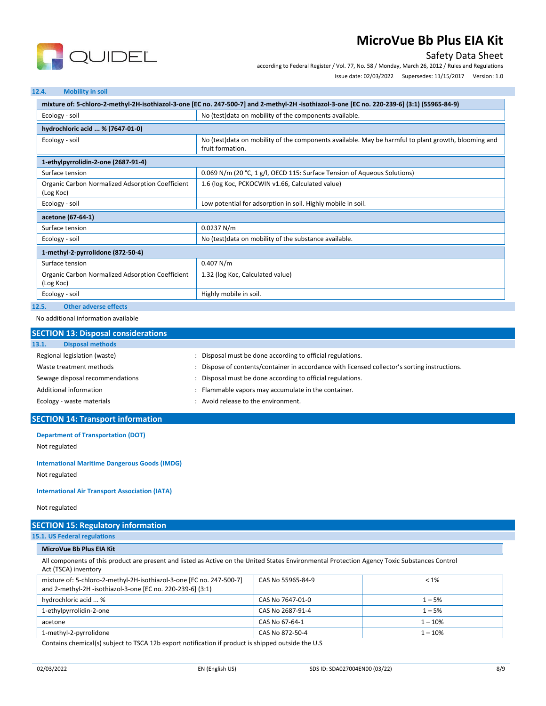

## Safety Data Sheet

according to Federal Register / Vol. 77, No. 58 / Monday, March 26, 2012 / Rules and Regulations

Issue date: 02/03/2022 Supersedes: 11/15/2017 Version: 1.0

#### **12.4. Mobility in soil**

| mixture of: 5-chloro-2-methyl-2H-isothiazol-3-one [EC no. 247-500-7] and 2-methyl-2H-isothiazol-3-one [EC no. 220-239-6] (3:1) (55965-84-9) |                                                                                                                          |  |  |
|---------------------------------------------------------------------------------------------------------------------------------------------|--------------------------------------------------------------------------------------------------------------------------|--|--|
| Ecology - soil                                                                                                                              | No (test) data on mobility of the components available.                                                                  |  |  |
| hydrochloric acid  % (7647-01-0)                                                                                                            |                                                                                                                          |  |  |
| Ecology - soil                                                                                                                              | No (test) data on mobility of the components available. May be harmful to plant growth, blooming and<br>fruit formation. |  |  |
| 1-ethylpyrrolidin-2-one (2687-91-4)                                                                                                         |                                                                                                                          |  |  |
| Surface tension                                                                                                                             | 0.069 N/m (20 °C, 1 g/l, OECD 115: Surface Tension of Aqueous Solutions)                                                 |  |  |
| Organic Carbon Normalized Adsorption Coefficient<br>(Log Koc)                                                                               | 1.6 (log Koc, PCKOCWIN v1.66, Calculated value)                                                                          |  |  |
| Ecology - soil                                                                                                                              | Low potential for adsorption in soil. Highly mobile in soil.                                                             |  |  |
| acetone (67-64-1)                                                                                                                           |                                                                                                                          |  |  |
| Surface tension                                                                                                                             | 0.0237 N/m                                                                                                               |  |  |
| No (test)data on mobility of the substance available.<br>Ecology - soil                                                                     |                                                                                                                          |  |  |
| 1-methyl-2-pyrrolidone (872-50-4)                                                                                                           |                                                                                                                          |  |  |
| Surface tension                                                                                                                             | 0.407 N/m                                                                                                                |  |  |
| Organic Carbon Normalized Adsorption Coefficient<br>(Log Koc)                                                                               | 1.32 (log Koc, Calculated value)                                                                                         |  |  |
| Ecology - soil                                                                                                                              | Highly mobile in soil.                                                                                                   |  |  |
| 12.5.<br><b>Other adverse effects</b>                                                                                                       |                                                                                                                          |  |  |

No additional information available

| <b>SECTION 13: Disposal considerations</b> |                                                                                             |  |
|--------------------------------------------|---------------------------------------------------------------------------------------------|--|
| <b>Disposal methods</b><br>13.1.           |                                                                                             |  |
| Regional legislation (waste)               | Disposal must be done according to official regulations.                                    |  |
| Waste treatment methods                    | Dispose of contents/container in accordance with licensed collector's sorting instructions. |  |
| Sewage disposal recommendations            | Disposal must be done according to official regulations.                                    |  |
| Additional information                     | Flammable vapors may accumulate in the container.                                           |  |
| Ecology - waste materials                  | Avoid release to the environment.                                                           |  |

### **SECTION 14: Transport information**

**Department of Transportation (DOT)**

Not regulated

**International Maritime Dangerous Goods (IMDG)**

Not regulated

**International Air Transport Association (IATA)**

Not regulated

# **SECTION 15: Regulatory information**

**15.1. US Federal regulations**

**MicroVue Bb Plus EIA Kit**

All components of this product are present and listed as Active on the United States Environmental Protection Agency Toxic Substances Control Act (TSCA) inventory

| mixture of: 5-chloro-2-methyl-2H-isothiazol-3-one [EC no. 247-500-7]<br>and 2-methyl-2H -isothiazol-3-one [EC no. 220-239-6] (3:1) | CAS No 55965-84-9 | $< 1\%$   |
|------------------------------------------------------------------------------------------------------------------------------------|-------------------|-----------|
| hydrochloric acid  %                                                                                                               | CAS No 7647-01-0  | $1 - 5%$  |
| 1-ethylpyrrolidin-2-one                                                                                                            | CAS No 2687-91-4  | $1 - 5%$  |
| acetone                                                                                                                            | CAS No 67-64-1    | $1 - 10%$ |
| 1-methyl-2-pyrrolidone                                                                                                             | CAS No 872-50-4   | $1 - 10%$ |

Contains chemical(s) subject to TSCA 12b export notification if product is shipped outside the U.S